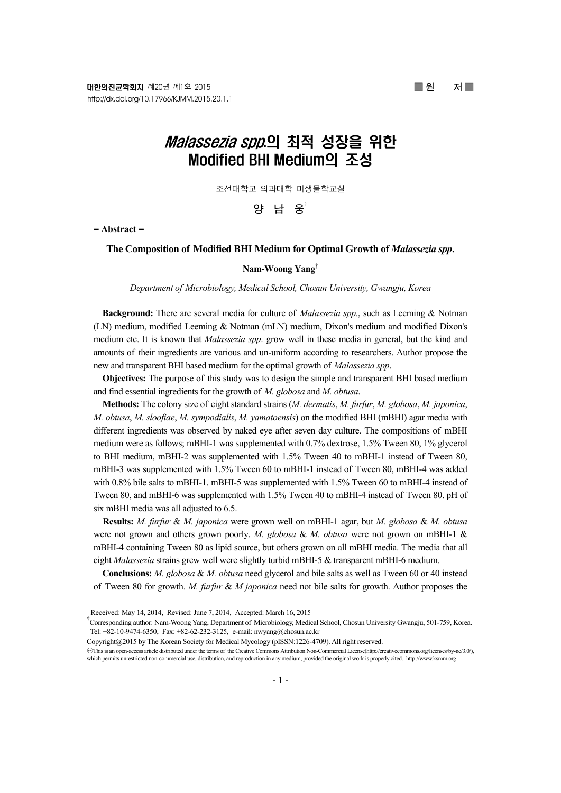# *Malassezia spp*.의 최적 성장을 위한 Modified BHI Medium의 조성

조선대학교 의과대학 미생물학교실

**양 남 웅**†

**= Abstract =** 

### **The Composition of Modified BHI Medium for Optimal Growth of** *Malassezia spp***.**

## **Nam-Woong Yang†**

*Department of Microbiology, Medical School, Chosun University, Gwangju, Korea* 

**Background:** There are several media for culture of *Malassezia spp*., such as Leeming & Notman (LN) medium, modified Leeming & Notman (mLN) medium, Dixon's medium and modified Dixon's medium etc. It is known that *Malassezia spp*. grow well in these media in general, but the kind and amounts of their ingredients are various and un-uniform according to researchers. Author propose the new and transparent BHI based medium for the optimal growth of *Malassezia spp*.

**Objectives:** The purpose of this study was to design the simple and transparent BHI based medium and find essential ingredients for the growth of *M. globosa* and *M. obtusa*.

**Methods:** The colony size of eight standard strains (*M. dermatis*, *M. furfur*, *M. globosa*, *M. japonica*, *M. obtusa*, *M. sloofiae*, *M. sympodialis*, *M. yamatoensis*) on the modified BHI (mBHI) agar media with different ingredients was observed by naked eye after seven day culture. The compositions of mBHI medium were as follows; mBHI-1 was supplemented with 0.7% dextrose, 1.5% Tween 80, 1% glycerol to BHI medium, mBHI-2 was supplemented with 1.5% Tween 40 to mBHI-1 instead of Tween 80, mBHI-3 was supplemented with 1.5% Tween 60 to mBHI-1 instead of Tween 80, mBHI-4 was added with 0.8% bile salts to mBHI-1. mBHI-5 was supplemented with 1.5% Tween 60 to mBHI-4 instead of Tween 80, and mBHI-6 was supplemented with 1.5% Tween 40 to mBHI-4 instead of Tween 80. pH of six mBHI media was all adjusted to 6.5.

**Results:** *M. furfur* & *M. japonica* were grown well on mBHI-1 agar, but *M. globosa* & *M. obtusa* were not grown and others grown poorly. *M. globosa* & *M. obtusa* were not grown on mBHI-1 & mBHI-4 containing Tween 80 as lipid source, but others grown on all mBHI media. The media that all eight *Malassezia* strains grew well were slightly turbid mBHI-5 & transparent mBHI-6 medium.

**Conclusions:** *M. globosa* & *M. obtusa* need glycerol and bile salts as well as Tween 60 or 40 instead of Tween 80 for growth. *M. furfur* & *M japonica* need not bile salts for growth. Author proposes the

Copyright@2015 by The Korean Society for Medical Mycology (pISSN:1226-4709). All right reserved.

Received: May 14, 2014, Revised: June 7, 2014, Accepted: March 16, 2015

<sup>†</sup> Corresponding author: Nam-Woong Yang, Department of Microbiology, Medical School, Chosun University Gwangju, 501-759, Korea. Tel: +82-10-9474-6350, Fax: +82-62-232-3125, e-mail: nwyang@chosun.ac.kr

<sup>○</sup>cc This is an open-access article distributed under the terms of the Creative Commons Attribution Non-Commercial License(http://creativecommons.org/licenses/by-nc/3.0/), which permits unrestricted non-commercial use, distribution, and reproduction in any medium, provided the original work is properly cited. http://www.ksmm.org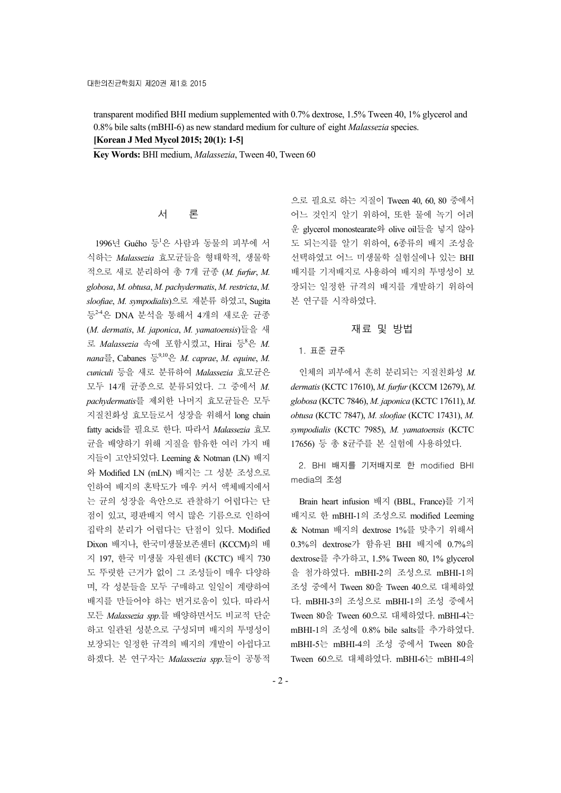transparent modified BHI medium supplemented with 0.7% dextrose, 1.5% Tween 40, 1% glycerol and 0.8% bile salts (mBHI-6) as new standard medium for culture of eight *Malassezia* species. **[Korean J Med Mycol 2015; 20(1): 1-5]**

**Key Words:** BHI medium, *Malassezia*, Tween 40, Tween 60

# 서 론

1996년 Guého 등<sup>1</sup>은 사람과 동물의 피부에 서 식하는 *Malassezia* 효모균들을 형태학적, 생물학 적으로 새로 분리하여 총 7개 균종 (*M. furfur*, *M. globosa*, *M. obtusa*, *M. pachydermatis*, *M. restricta*, *M. sloofiae*, *M. sympodialis*)으로 재분류 하였고, Sugita 등2-4은 DNA 분석을 통해서 4개의 새로운 균종 (*M. dermatis*, *M. japonica*, *M. yamatoensis*)들을 새 로 *Malassezia* 속에 포함시켰고, Hirai 등<sup>8</sup> 은 *M.*   $nana \equiv$ , Cabanes  $\equiv$ <sup>9,10</sup> $\cong$  *M. caprae*, *M. equine*, *M. cuniculi* 등을 새로 분류하여 *Malassezia* 효모균은 모두 14개 균종으로 분류되었다. 그 중에서 *M. pachydermatis*를 제외한 나머지 효모균들은 모두 지질친화성 효모들로서 성장을 위해서 long chain fatty acids를 필요로 한다. 따라서 *Malassezia* 효모 균을 배양하기 위해 지질을 함유한 여러 가지 배 지들이 고안되었다. Leeming & Notman (LN) 배지 와 Modified LN (mLN) 배지는 그 성분 조성으로 인하여 배지의 혼탁도가 매우 커서 액체배지에서 는 균의 성장을 육안으로 관찰하기 어렵다는 단 점이 있고, 평판배지 역시 많은 기름으로 인하여 집락의 분리가 어렵다는 단점이 있다. Modified Dixon 배지나, 한국미생물보존센터 (KCCM)의 배 지 197, 한국 미생물 자원센터 (KCTC) 배지 730 도 뚜렷한 근거가 없이 그 조성들이 매우 다양하 며, 각 성분들을 모두 구매하고 일일이 계량하여 배지를 만들어야 하는 번거로움이 있다. 따라서 모든 *Malassezia spp*.를 배양하면서도 비교적 단순 하고 일관된 성분으로 구성되며 배지의 투명성이 보장되는 일정한 규격의 배지의 개발이 아쉽다고 하겠다. 본 연구자는 *Malassezia spp*.들이 공통적

으로 필요로 하는 지질이 Tween 40, 60, 80 중에서 어느 것인지 알기 위하여, 또한 물에 녹기 어려 운 glycerol monostearate와 olive oil들을 넣지 않아 도 되는지를 알기 위하여, 6종류의 배지 조성을 선택하였고 어느 미생물학 실험실에나 있는 BHI 배지를 기저배지로 사용하여 배지의 투명성이 보 장되는 일정한 규격의 배지를 개발하기 위하여 본 연구를 시작하였다.

## 재료 및 방법

#### 1. 표준 균주

인체의 피부에서 흔히 분리되는 지질친화성 *M. dermatis* (KCTC 17610), *M. furfur* (KCCM 12679), *M. globosa* (KCTC 7846), *M. japonica* (KCTC 17611), *M. obtusa* (KCTC 7847), *M. sloofiae* (KCTC 17431), *M. sympodialis* (KCTC 7985), *M. yamatoensis* (KCTC 17656) 등 총 8균주를 본 실험에 사용하였다.

2. BHI 배지를 기저배지로 한 modified BHI media의 조성

Brain heart infusion 배지 (BBL, France)를 기저 배지로 한 mBHI-1의 조성으로 modified Leeming & Notman 배지의 dextrose 1%를 맞추기 위해서 0.3%의 dextrose가 함유된 BHI 배지에 0.7%의 dextrose를 추가하고, 1.5% Tween 80, 1% glycerol 을 첨가하였다. mBHI-2의 조성으로 mBHI-1의 조성 중에서 Tween 80을 Tween 40으로 대체하였 다. mBHI-3의 조성으로 mBHI-1의 조성 중에서 Tween 80을 Tween 60으로 대체하였다. mBHI-4는 mBHI-1의 조성에 0.8% bile salts를 추가하였다. mBHI-5는 mBHI-4의 조성 중에서 Tween 80을 Tween 60으로 대체하였다. mBHI-6는 mBHI-4의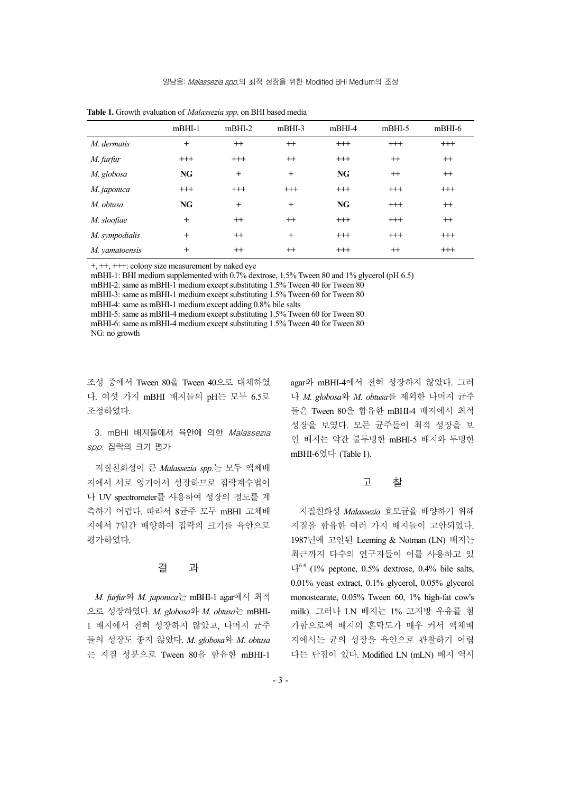|                | $m$ BHI-1 | $m$ BHI-2 | $m$ BHI-3 | $m$ BHI-4 | $m$ BHI-5 | $m$ BHI-6 |
|----------------|-----------|-----------|-----------|-----------|-----------|-----------|
| M. dermatis    | $^{+}$    | $^{++}$   | $^{++}$   | $^{+++}$  | $++$      | $^{+++}$  |
| M. furfur      | $^{+++}$  | $^{+++}$  | $^{++}$   | $^{+++}$  | $^{++}$   | $^{++}$   |
| M. globosa     | NG        | $+$       | $\ddot{}$ | NG        | $^{++}$   | $^{++}$   |
| M. japonica    | $^{+++}$  | $^{+++}$  | $^{+++}$  | $^{+++}$  | $++$      | $^{+++}$  |
| M. obtusa      | NG        | $^{+}$    | $^{+}$    | NG        | $++$      | $^{++}$   |
| M. sloofiae    | $^{+}$    | $^{++}$   | $^{+}$    | $^{+++}$  | $++$      | $^{++}$   |
| M. sympodialis | $^{+}$    | $^{++}$   | $^{+}$    | $^{+++}$  | $++$      | $^{+++}$  |
| M. yamatoensis | $^{+}$    | $^{++}$   | $^{+}$    | $^{+++}$  | $^{++}$   | $^{+++}$  |

**Table 1.** Growth evaluation of *Malassezia spp*. on BHI based media

+, ++, +++: colony size measurement by naked eye

mBHI-1: BHI medium supplemented with 0.7% dextrose, 1.5% Tween 80 and 1% glycerol (pH 6.5)

mBHI-2: same as mBHI-1 medium except substituting 1.5% Tween 40 for Tween 80

mBHI-3: same as mBHI-1 medium except substituting 1.5% Tween 60 for Tween 80

mBHI-4: same as mBHI-1 medium except adding 0.8% bile salts

mBHI-5: same as mBHI-4 medium except substituting 1.5% Tween 60 for Tween 80 mBHI-6: same as mBHI-4 medium except substituting 1.5% Tween 40 for Tween 80 NG: no growth

조성 중에서 Tween 80을 Tween 40으로 대체하였 다. 여섯 가지 mBHI 배지들의 pH는 모두 6.5로 조정하였다.

3. mBHI 배지들에서 육안에 의한 Malassezia spp. 집락의 크기 평가

지질친화성이 큰 *Malassezia spp*.는 모두 액체배 지에서 서로 엉기어서 성장하므로 집락계수법이 나 UV spectrometer를 사용하여 성장의 정도를 계 측하기 어렵다. 따라서 8균주 모두 mBHI 고체배 지에서 7일간 배양하여 집락의 크기를 육안으로 평가하였다.

## 결 과

*M. furfur*와 *M. japonica*는 mBHI-1 agar에서 최적 으로 성장하였다. *M. globosa*와 *M. obtusa*는 mBHI-1 배지에서 전혀 성장하지 않았고, 나머지 균주 들의 성장도 좋지 않았다. *M. globosa*와 *M. obtusa* 는 지질 성분으로 Tween 80을 함유한 mBHI-1

agar와 mBHI-4에서 전혀 성장하지 않았다. 그러 나 *M. globosa*와 *M. obtusa*를 제외한 나머지 균주 들은 Tween 80을 함유한 mBHI-4 배지에서 최적 성장을 보였다. 모든 균주들이 최적 성장을 보 인 배지는 약간 불투명한 mBHI-5 배지와 투명한 mBHI-6였다 (Table 1).

## 고 찰

지질친화성 *Malassezia* 효모균을 배양하기 위해 지질을 함유한 여러 가지 배지들이 고안되었다. 1987년에 고안된 Leeming & Notman (LN) 배지는 최근까지 다수의 연구자들이 이를 사용하고 있  $\Gamma^{6-8}$  (1% peptone, 0.5% dextrose, 0.4% bile salts, 0.01% yeast extract, 0.1% glycerol, 0.05% glycerol monostearate, 0.05% Tween 60, 1% high-fat cow's milk). 그러나 LN 배지는 1% 고지방 우유를 첨 가함으로써 배지의 혼탁도가 매우 커서 액체배 지에서는 균의 성장을 육안으로 관찰하기 어렵 다는 단점이 있다. Modified LN (mLN) 배지 역시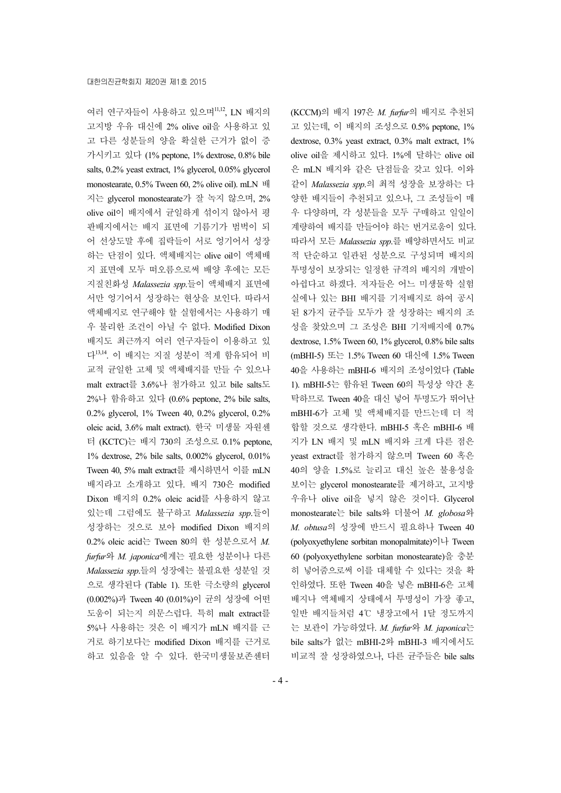여러 연구자들이 사용하고 있으며<sup>11,12</sup>, LN 배지의 고지방 우유 대신에 2% olive oil을 사용하고 있 고 다른 성분들의 양을 확실한 근거가 없이 증 가시키고 있다 (1% peptone, 1% dextrose, 0.8% bile salts, 0.2% yeast extract, 1% glycerol, 0.05% glycerol monostearate, 0.5% Tween 60, 2% olive oil). mLN 배 지는 glycerol monostearate가 잘 녹지 않으며, 2% olive oil이 배지에서 균일하게 섞이지 않아서 평 판배지에서는 배지 표면에 기름기가 범벅이 되 어 선상도말 후에 집락들이 서로 엉기어서 성장 하는 단점이 있다. 액체배지는 olive oil이 액체배 지 표면에 모두 떠오름으로써 배양 후에는 모든 지질친화성 *Malassezia spp*.들이 액체배지 표면에 서만 엉기어서 성장하는 현상을 보인다. 따라서 액체배지로 연구해야 할 실험에서는 사용하기 매 우 불리한 조건이 아닐 수 없다. Modified Dixon 배지도 최근까지 여러 연구자들이 이용하고 있 다13,14. 이 배지는 지질 성분이 적게 함유되어 비 교적 균일한 고체 및 액체배지를 만들 수 있으나 malt extract를 3.6%나 첨가하고 있고 bile salts도 2%나 함유하고 있다 (0.6% peptone, 2% bile salts, 0.2% glycerol, 1% Tween 40, 0.2% glycerol, 0.2% oleic acid, 3.6% malt extract). 한국 미생물 자원센 터 (KCTC)는 배지 730의 조성으로 0.1% peptone, 1% dextrose, 2% bile salts, 0.002% glycerol, 0.01% Tween 40, 5% malt extract를 제시하면서 이를 mLN 배지라고 소개하고 있다. 배지 730은 modified Dixon 배지의 0.2% oleic acid를 사용하지 않고 있는데 그럼에도 불구하고 *Malassezia spp*.들이 성장하는 것으로 보아 modified Dixon 배지의 0.2% oleic acid는 Tween 80의 한 성분으로서 *M. furfur*와 *M. japonica*에게는 필요한 성분이나 다른 *Malassezia spp*.들의 성장에는 불필요한 성분일 것 으로 생각된다 (Table 1). 또한 극소량의 glycerol (0.002%)과 Tween 40 (0.01%)이 균의 성장에 어떤 도움이 되는지 의문스럽다. 특히 malt extract를 5%나 사용하는 것은 이 배지가 mLN 배지를 근 거로 하기보다는 modified Dixon 배지를 근거로 하고 있음을 알 수 있다. 한국미생물보존센터

(KCCM)의 배지 197은 *M. furfur*의 배지로 추천되 고 있는데, 이 배지의 조성으로 0.5% peptone, 1% dextrose, 0.3% yeast extract, 0.3% malt extract, 1% olive oil을 제시하고 있다. 1%에 달하는 olive oil 은 mLN 배지와 같은 단점들을 갖고 있다. 이와 같이 *Malassezia spp*.의 최적 성장을 보장하는 다 양한 배지들이 추천되고 있으나, 그 조성들이 매 우 다양하며, 각 성분들을 모두 구매하고 일일이 계량하여 배지를 만들어야 하는 번거로움이 있다. 따라서 모든 *Malassezia spp*.를 배양하면서도 비교 적 단순하고 일관된 성분으로 구성되며 배지의 투명성이 보장되는 일정한 규격의 배지의 개발이 아쉽다고 하겠다. 저자들은 어느 미생물학 실험 실에나 있는 BHI 배지를 기저배지로 하여 공시 된 8가지 균주들 모두가 잘 성장하는 배지의 조 성을 찾았으며 그 조성은 BHI 기저배지에 0.7% dextrose, 1.5% Tween 60, 1% glycerol, 0.8% bile salts (mBHI-5) 또는 1.5% Tween 60 대신에 1.5% Tween 40을 사용하는 mBHI-6 배지의 조성이었다 (Table 1). mBHI-5는 함유된 Tween 60의 특성상 약간 혼 탁하므로 Tween 40을 대신 넣어 투명도가 뛰어난 mBHI-6가 고체 및 액체배지를 만드는데 더 적 합할 것으로 생각한다. mBHI-5 혹은 mBHI-6 배 지가 LN 배지 및 mLN 배지와 크게 다른 점은 yeast extract를 첨가하지 않으며 Tween 60 혹은 40의 양을 1.5%로 늘리고 대신 높은 불용성을 보이는 glycerol monostearate를 제거하고, 고지방 우유나 olive oil을 넣지 않은 것이다. Glycerol monostearate는 bile salts와 더불어 *M. globosa*와 *M. obtusa*의 성장에 반드시 필요하나 Tween 40 (polyoxyethylene sorbitan monopalmitate)이나 Tween 60 (polyoxyethylene sorbitan monostearate)을 충분 히 넣어줌으로써 이를 대체할 수 있다는 것을 확 인하였다. 또한 Tween 40을 넣은 mBHI-6은 고체 배지나 액체배지 상태에서 투명성이 가장 좋고, 일반 배지들처럼 4℃ 냉장고에서 1달 정도까지 는 보관이 가능하였다. *M. furfur*와 *M. japonica*는 bile salts가 없는 mBHI-2와 mBHI-3 배지에서도 비교적 잘 성장하였으나, 다른 균주들은 bile salts